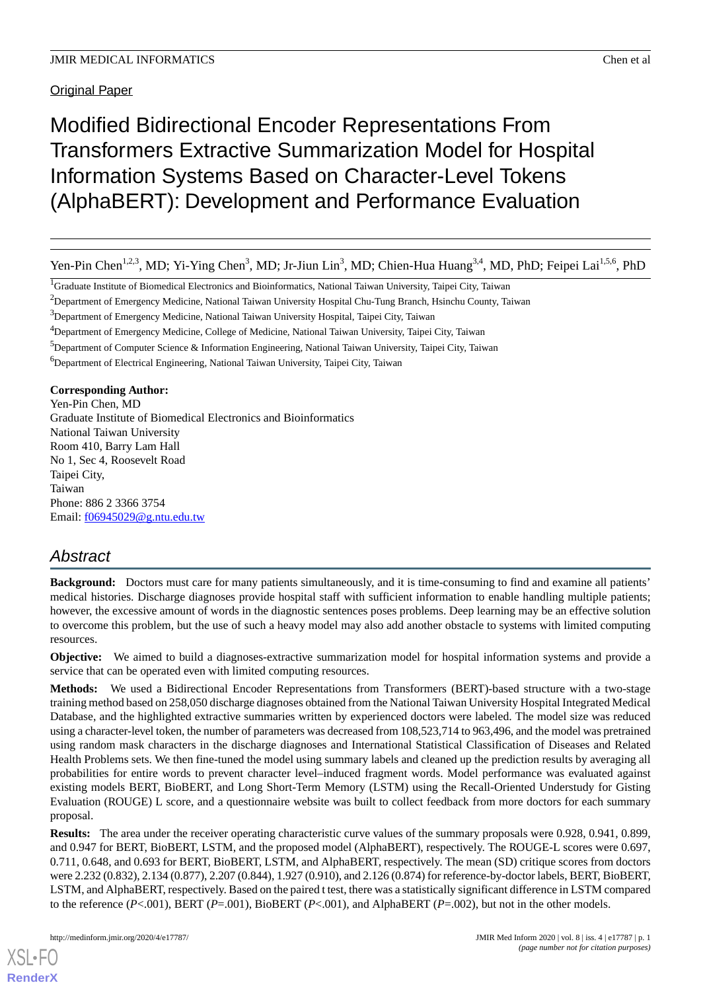Original Paper

# Modified Bidirectional Encoder Representations From Transformers Extractive Summarization Model for Hospital Information Systems Based on Character-Level Tokens (AlphaBERT): Development and Performance Evaluation

Yen-Pin Chen<sup>1,2,3</sup>, MD; Yi-Ying Chen<sup>3</sup>, MD; Jr-Jiun Lin<sup>3</sup>, MD; Chien-Hua Huang<sup>3,4</sup>, MD, PhD; Feipei Lai<sup>1,5,6</sup>, PhD

<sup>1</sup>Graduate Institute of Biomedical Electronics and Bioinformatics, National Taiwan University, Taipei City, Taiwan

<sup>2</sup>Department of Emergency Medicine, National Taiwan University Hospital Chu-Tung Branch, Hsinchu County, Taiwan

<sup>3</sup>Department of Emergency Medicine, National Taiwan University Hospital, Taipei City, Taiwan

<sup>4</sup>Department of Emergency Medicine, College of Medicine, National Taiwan University, Taipei City, Taiwan

<sup>5</sup>Department of Computer Science & Information Engineering, National Taiwan University, Taipei City, Taiwan

<sup>6</sup>Department of Electrical Engineering, National Taiwan University, Taipei City, Taiwan

**Corresponding Author:**

Yen-Pin Chen, MD Graduate Institute of Biomedical Electronics and Bioinformatics National Taiwan University Room 410, Barry Lam Hall No 1, Sec 4, Roosevelt Road Taipei City, Taiwan Phone: 886 2 3366 3754 Email: [f06945029@g.ntu.edu.tw](mailto:f06945029@g.ntu.edu.tw)

# *Abstract*

**Background:** Doctors must care for many patients simultaneously, and it is time-consuming to find and examine all patients' medical histories. Discharge diagnoses provide hospital staff with sufficient information to enable handling multiple patients; however, the excessive amount of words in the diagnostic sentences poses problems. Deep learning may be an effective solution to overcome this problem, but the use of such a heavy model may also add another obstacle to systems with limited computing resources.

**Objective:** We aimed to build a diagnoses-extractive summarization model for hospital information systems and provide a service that can be operated even with limited computing resources.

**Methods:** We used a Bidirectional Encoder Representations from Transformers (BERT)-based structure with a two-stage training method based on 258,050 discharge diagnoses obtained from the National Taiwan University Hospital Integrated Medical Database, and the highlighted extractive summaries written by experienced doctors were labeled. The model size was reduced using a character-level token, the number of parameters was decreased from 108,523,714 to 963,496, and the model was pretrained using random mask characters in the discharge diagnoses and International Statistical Classification of Diseases and Related Health Problems sets. We then fine-tuned the model using summary labels and cleaned up the prediction results by averaging all probabilities for entire words to prevent character level–induced fragment words. Model performance was evaluated against existing models BERT, BioBERT, and Long Short-Term Memory (LSTM) using the Recall-Oriented Understudy for Gisting Evaluation (ROUGE) L score, and a questionnaire website was built to collect feedback from more doctors for each summary proposal.

**Results:** The area under the receiver operating characteristic curve values of the summary proposals were 0.928, 0.941, 0.899, and 0.947 for BERT, BioBERT, LSTM, and the proposed model (AlphaBERT), respectively. The ROUGE-L scores were 0.697, 0.711, 0.648, and 0.693 for BERT, BioBERT, LSTM, and AlphaBERT, respectively. The mean (SD) critique scores from doctors were 2.232 (0.832), 2.134 (0.877), 2.207 (0.844), 1.927 (0.910), and 2.126 (0.874) for reference-by-doctor labels, BERT, BioBERT, LSTM, and AlphaBERT, respectively. Based on the paired t test, there was a statistically significant difference in LSTM compared to the reference (*P*<.001), BERT (*P*=.001), BioBERT (*P*<.001), and AlphaBERT (*P*=.002), but not in the other models.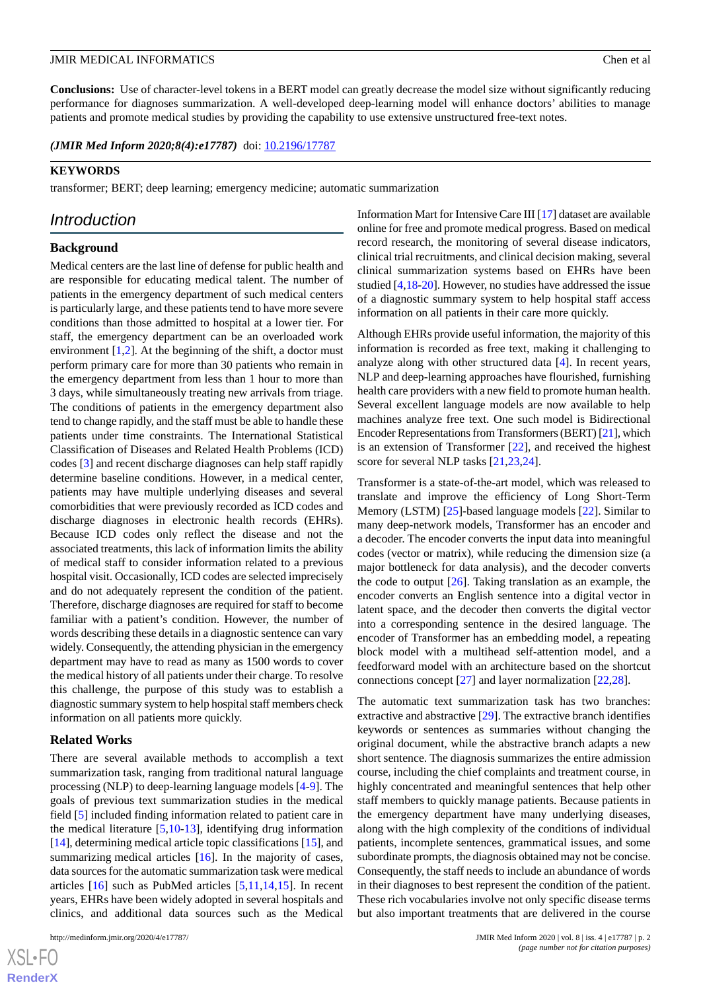**Conclusions:** Use of character-level tokens in a BERT model can greatly decrease the model size without significantly reducing performance for diagnoses summarization. A well-developed deep-learning model will enhance doctors' abilities to manage patients and promote medical studies by providing the capability to use extensive unstructured free-text notes.

*(JMIR Med Inform 2020;8(4):e17787)* doi: **[10.2196/17787](http://dx.doi.org/10.2196/17787)** 

### **KEYWORDS**

transformer; BERT; deep learning; emergency medicine; automatic summarization

# *Introduction*

# **Background**

Medical centers are the last line of defense for public health and are responsible for educating medical talent. The number of patients in the emergency department of such medical centers is particularly large, and these patients tend to have more severe conditions than those admitted to hospital at a lower tier. For staff, the emergency department can be an overloaded work environment  $[1,2]$  $[1,2]$  $[1,2]$ . At the beginning of the shift, a doctor must perform primary care for more than 30 patients who remain in the emergency department from less than 1 hour to more than 3 days, while simultaneously treating new arrivals from triage. The conditions of patients in the emergency department also tend to change rapidly, and the staff must be able to handle these patients under time constraints. The International Statistical Classification of Diseases and Related Health Problems (ICD) codes [[3\]](#page-10-2) and recent discharge diagnoses can help staff rapidly determine baseline conditions. However, in a medical center, patients may have multiple underlying diseases and several comorbidities that were previously recorded as ICD codes and discharge diagnoses in electronic health records (EHRs). Because ICD codes only reflect the disease and not the associated treatments, this lack of information limits the ability of medical staff to consider information related to a previous hospital visit. Occasionally, ICD codes are selected imprecisely and do not adequately represent the condition of the patient. Therefore, discharge diagnoses are required for staff to become familiar with a patient's condition. However, the number of words describing these details in a diagnostic sentence can vary widely. Consequently, the attending physician in the emergency department may have to read as many as 1500 words to cover the medical history of all patients under their charge. To resolve this challenge, the purpose of this study was to establish a diagnostic summary system to help hospital staff members check information on all patients more quickly.

### **Related Works**

There are several available methods to accomplish a text summarization task, ranging from traditional natural language processing (NLP) to deep-learning language models [[4-](#page-10-3)[9](#page-10-4)]. The goals of previous text summarization studies in the medical field [\[5\]](#page-10-5) included finding information related to patient care in the medical literature [[5,](#page-10-5)[10](#page-10-6)[-13](#page-11-0)], identifying drug information [[14\]](#page-11-1), determining medical article topic classifications [\[15](#page-11-2)], and summarizing medical articles [\[16](#page-11-3)]. In the majority of cases, data sources for the automatic summarization task were medical articles [\[16](#page-11-3)] such as PubMed articles [\[5](#page-10-5),[11,](#page-11-4)[14](#page-11-1),[15\]](#page-11-2). In recent years, EHRs have been widely adopted in several hospitals and clinics, and additional data sources such as the Medical

Information Mart for Intensive Care III [[17\]](#page-11-5) dataset are available online for free and promote medical progress. Based on medical record research, the monitoring of several disease indicators, clinical trial recruitments, and clinical decision making, several clinical summarization systems based on EHRs have been studied [[4,](#page-10-3)[18](#page-11-6)[-20](#page-11-7)]. However, no studies have addressed the issue of a diagnostic summary system to help hospital staff access information on all patients in their care more quickly.

Although EHRs provide useful information, the majority of this information is recorded as free text, making it challenging to analyze along with other structured data [\[4](#page-10-3)]. In recent years, NLP and deep-learning approaches have flourished, furnishing health care providers with a new field to promote human health. Several excellent language models are now available to help machines analyze free text. One such model is Bidirectional Encoder Representations from Transformers (BERT) [[21\]](#page-11-8), which is an extension of Transformer [\[22](#page-11-9)], and received the highest score for several NLP tasks [\[21](#page-11-8),[23,](#page-11-10)[24](#page-11-11)].

Transformer is a state-of-the-art model, which was released to translate and improve the efficiency of Long Short-Term Memory (LSTM) [[25\]](#page-11-12)-based language models [[22\]](#page-11-9). Similar to many deep-network models, Transformer has an encoder and a decoder. The encoder converts the input data into meaningful codes (vector or matrix), while reducing the dimension size (a major bottleneck for data analysis), and the decoder converts the code to output  $[26]$  $[26]$ . Taking translation as an example, the encoder converts an English sentence into a digital vector in latent space, and the decoder then converts the digital vector into a corresponding sentence in the desired language. The encoder of Transformer has an embedding model, a repeating block model with a multihead self-attention model, and a feedforward model with an architecture based on the shortcut connections concept [[27\]](#page-11-14) and layer normalization [[22,](#page-11-9)[28\]](#page-11-15).

The automatic text summarization task has two branches: extractive and abstractive [[29\]](#page-11-16). The extractive branch identifies keywords or sentences as summaries without changing the original document, while the abstractive branch adapts a new short sentence. The diagnosis summarizes the entire admission course, including the chief complaints and treatment course, in highly concentrated and meaningful sentences that help other staff members to quickly manage patients. Because patients in the emergency department have many underlying diseases, along with the high complexity of the conditions of individual patients, incomplete sentences, grammatical issues, and some subordinate prompts, the diagnosis obtained may not be concise. Consequently, the staff needs to include an abundance of words in their diagnoses to best represent the condition of the patient. These rich vocabularies involve not only specific disease terms but also important treatments that are delivered in the course

 $XS$ -FO **[RenderX](http://www.renderx.com/)**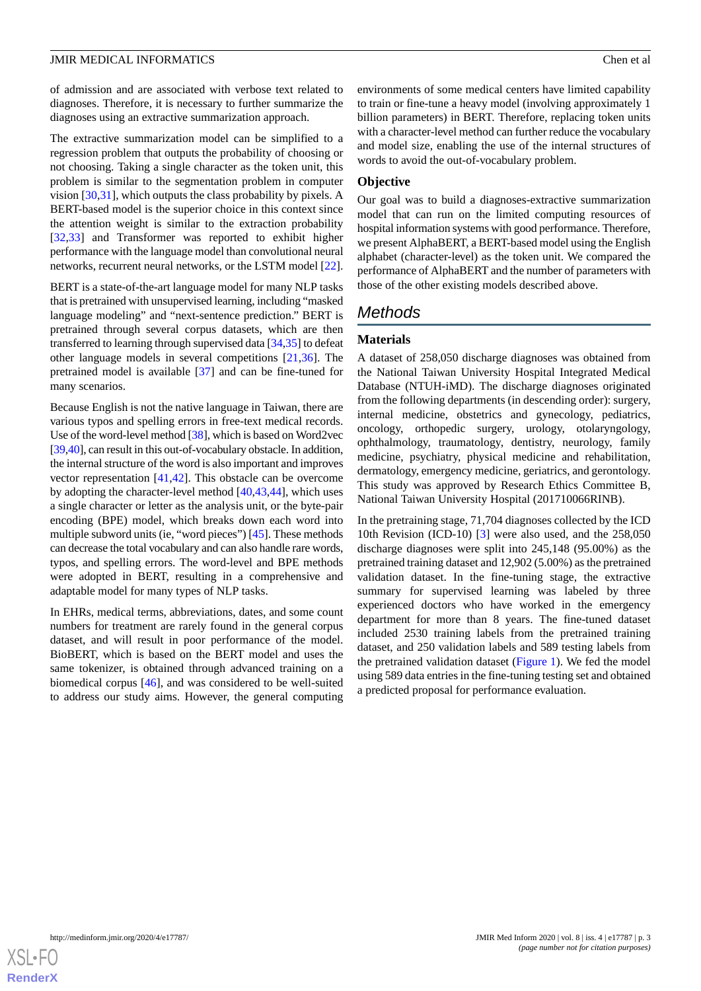of admission and are associated with verbose text related to diagnoses. Therefore, it is necessary to further summarize the diagnoses using an extractive summarization approach.

The extractive summarization model can be simplified to a regression problem that outputs the probability of choosing or not choosing. Taking a single character as the token unit, this problem is similar to the segmentation problem in computer vision [\[30](#page-11-17)[,31](#page-11-18)], which outputs the class probability by pixels. A BERT-based model is the superior choice in this context since the attention weight is similar to the extraction probability [[32](#page-11-19)[,33](#page-12-0)] and Transformer was reported to exhibit higher performance with the language model than convolutional neural networks, recurrent neural networks, or the LSTM model [[22\]](#page-11-9).

BERT is a state-of-the-art language model for many NLP tasks that is pretrained with unsupervised learning, including "masked language modeling" and "next-sentence prediction." BERT is pretrained through several corpus datasets, which are then transferred to learning through supervised data [\[34](#page-12-1),[35](#page-12-2)] to defeat other language models in several competitions [[21,](#page-11-8)[36](#page-12-3)]. The pretrained model is available [[37\]](#page-12-4) and can be fine-tuned for many scenarios.

Because English is not the native language in Taiwan, there are various typos and spelling errors in free-text medical records. Use of the word-level method [\[38\]](#page-12-5), which is based on Word2vec [[39,](#page-12-6)[40\]](#page-12-7), can result in this out-of-vocabulary obstacle. In addition, the internal structure of the word is also important and improves vector representation [[41](#page-12-8)[,42](#page-12-9)]. This obstacle can be overcome by adopting the character-level method [\[40](#page-12-7),[43,](#page-12-10)[44](#page-12-11)], which uses a single character or letter as the analysis unit, or the byte-pair encoding (BPE) model, which breaks down each word into multiple subword units (ie, "word pieces") [\[45](#page-12-12)]. These methods can decrease the total vocabulary and can also handle rare words, typos, and spelling errors. The word-level and BPE methods were adopted in BERT, resulting in a comprehensive and adaptable model for many types of NLP tasks.

In EHRs, medical terms, abbreviations, dates, and some count numbers for treatment are rarely found in the general corpus dataset, and will result in poor performance of the model. BioBERT, which is based on the BERT model and uses the same tokenizer, is obtained through advanced training on a biomedical corpus [[46\]](#page-12-13), and was considered to be well-suited to address our study aims. However, the general computing

environments of some medical centers have limited capability to train or fine-tune a heavy model (involving approximately 1 billion parameters) in BERT. Therefore, replacing token units with a character-level method can further reduce the vocabulary and model size, enabling the use of the internal structures of words to avoid the out-of-vocabulary problem.

# **Objective**

Our goal was to build a diagnoses-extractive summarization model that can run on the limited computing resources of hospital information systems with good performance. Therefore, we present AlphaBERT, a BERT-based model using the English alphabet (character-level) as the token unit. We compared the performance of AlphaBERT and the number of parameters with those of the other existing models described above.

# *Methods*

# **Materials**

A dataset of 258,050 discharge diagnoses was obtained from the National Taiwan University Hospital Integrated Medical Database (NTUH-iMD). The discharge diagnoses originated from the following departments (in descending order): surgery, internal medicine, obstetrics and gynecology, pediatrics, oncology, orthopedic surgery, urology, otolaryngology, ophthalmology, traumatology, dentistry, neurology, family medicine, psychiatry, physical medicine and rehabilitation, dermatology, emergency medicine, geriatrics, and gerontology. This study was approved by Research Ethics Committee B, National Taiwan University Hospital (201710066RINB).

In the pretraining stage, 71,704 diagnoses collected by the ICD 10th Revision (ICD-10) [[3\]](#page-10-2) were also used, and the 258,050 discharge diagnoses were split into 245,148 (95.00%) as the pretrained training dataset and 12,902 (5.00%) as the pretrained validation dataset. In the fine-tuning stage, the extractive summary for supervised learning was labeled by three experienced doctors who have worked in the emergency department for more than 8 years. The fine-tuned dataset included 2530 training labels from the pretrained training dataset, and 250 validation labels and 589 testing labels from the pretrained validation dataset ([Figure 1](#page-3-0)). We fed the model using 589 data entries in the fine-tuning testing set and obtained a predicted proposal for performance evaluation.

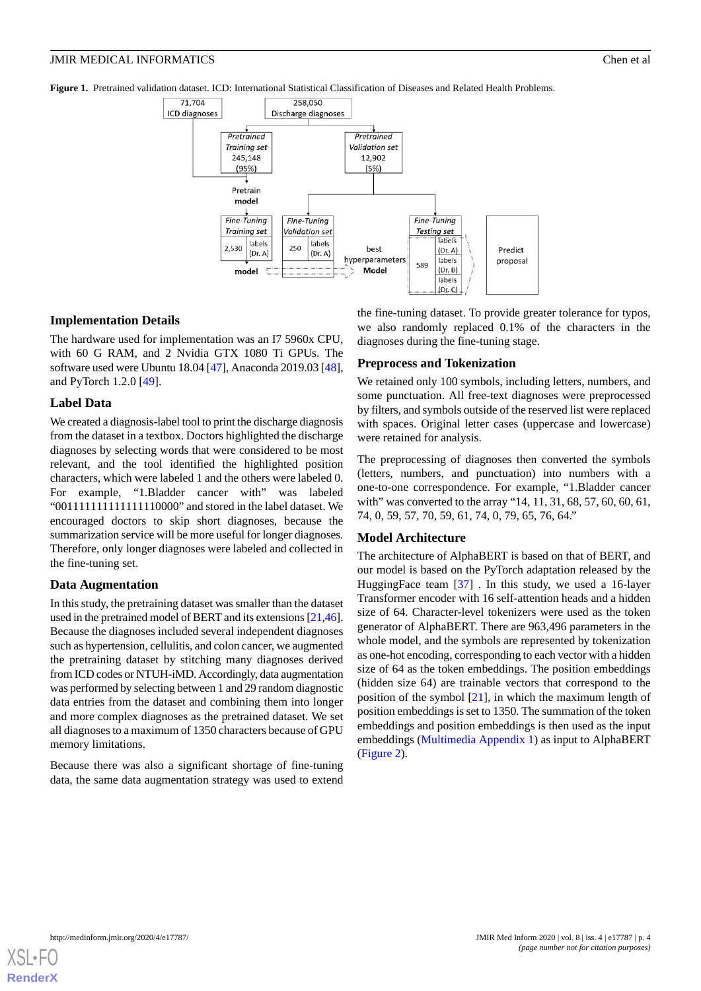<span id="page-3-0"></span>**Figure 1.** Pretrained validation dataset. ICD: International Statistical Classification of Diseases and Related Health Problems.



### **Implementation Details**

The hardware used for implementation was an I7 5960x CPU, with 60 G RAM, and 2 Nvidia GTX 1080 Ti GPUs. The software used were Ubuntu 18.04 [[47\]](#page-12-14), Anaconda 2019.03 [\[48\]](#page-12-15), and PyTorch 1.2.0 [\[49](#page-12-16)].

### **Label Data**

We created a diagnosis-label tool to print the discharge diagnosis from the dataset in a textbox. Doctors highlighted the discharge diagnoses by selecting words that were considered to be most relevant, and the tool identified the highlighted position characters, which were labeled 1 and the others were labeled 0. For example, "1.Bladder cancer with" was labeled "001111111111111110000" and stored in the label dataset. We encouraged doctors to skip short diagnoses, because the summarization service will be more useful for longer diagnoses. Therefore, only longer diagnoses were labeled and collected in the fine-tuning set.

#### **Data Augmentation**

In this study, the pretraining dataset was smaller than the dataset used in the pretrained model of BERT and its extensions [[21,](#page-11-8)[46\]](#page-12-13). Because the diagnoses included several independent diagnoses such as hypertension, cellulitis, and colon cancer, we augmented the pretraining dataset by stitching many diagnoses derived from ICD codes or NTUH-iMD. Accordingly, data augmentation was performed by selecting between 1 and 29 random diagnostic data entries from the dataset and combining them into longer and more complex diagnoses as the pretrained dataset. We set all diagnoses to a maximum of 1350 characters because of GPU memory limitations.

Because there was also a significant shortage of fine-tuning data, the same data augmentation strategy was used to extend the fine-tuning dataset. To provide greater tolerance for typos, we also randomly replaced 0.1% of the characters in the diagnoses during the fine-tuning stage.

#### **Preprocess and Tokenization**

We retained only 100 symbols, including letters, numbers, and some punctuation. All free-text diagnoses were preprocessed by filters, and symbols outside of the reserved list were replaced with spaces. Original letter cases (uppercase and lowercase) were retained for analysis.

The preprocessing of diagnoses then converted the symbols (letters, numbers, and punctuation) into numbers with a one-to-one correspondence. For example, "1.Bladder cancer with" was converted to the array "14, 11, 31, 68, 57, 60, 60, 61, 74, 0, 59, 57, 70, 59, 61, 74, 0, 79, 65, 76, 64."

#### **Model Architecture**

The architecture of AlphaBERT is based on that of BERT, and our model is based on the PyTorch adaptation released by the HuggingFace team [[37\]](#page-12-4) . In this study, we used a 16-layer Transformer encoder with 16 self-attention heads and a hidden size of 64. Character-level tokenizers were used as the token generator of AlphaBERT. There are 963,496 parameters in the whole model, and the symbols are represented by tokenization as one-hot encoding, corresponding to each vector with a hidden size of 64 as the token embeddings. The position embeddings (hidden size 64) are trainable vectors that correspond to the position of the symbol [[21\]](#page-11-8), in which the maximum length of position embeddings is set to 1350. The summation of the token embeddings and position embeddings is then used as the input embeddings ([Multimedia Appendix 1\)](#page-10-7) as input to AlphaBERT ([Figure 2\)](#page-4-0).

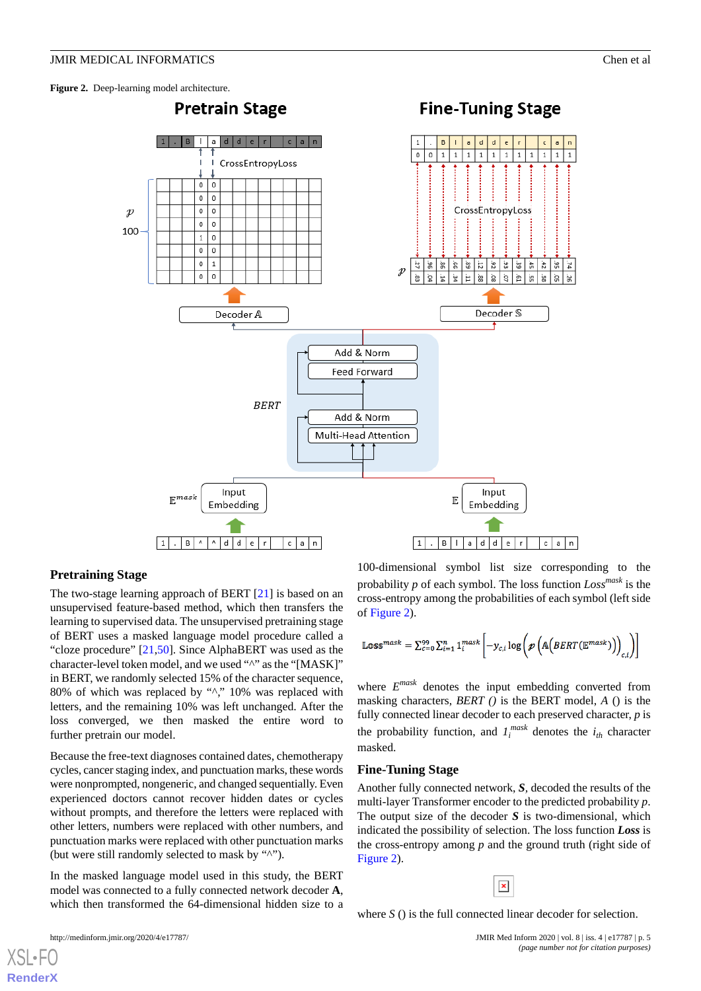<span id="page-4-0"></span>**Figure 2.** Deep-learning model architecture.



#### **Pretraining Stage**

The two-stage learning approach of BERT [[21\]](#page-11-8) is based on an unsupervised feature-based method, which then transfers the learning to supervised data. The unsupervised pretraining stage of BERT uses a masked language model procedure called a "cloze procedure" [\[21](#page-11-8),[50\]](#page-12-17). Since AlphaBERT was used as the character-level token model, and we used "^" as the "[MASK]" in BERT, we randomly selected 15% of the character sequence, 80% of which was replaced by "^," 10% was replaced with letters, and the remaining 10% was left unchanged. After the loss converged, we then masked the entire word to further pretrain our model.

Because the free-text diagnoses contained dates, chemotherapy cycles, cancer staging index, and punctuation marks, these words were nonprompted, nongeneric, and changed sequentially. Even experienced doctors cannot recover hidden dates or cycles without prompts, and therefore the letters were replaced with other letters, numbers were replaced with other numbers, and punctuation marks were replaced with other punctuation marks (but were still randomly selected to mask by "^").

In the masked language model used in this study, the BERT model was connected to a fully connected network decoder **A**, which then transformed the 64-dimensional hidden size to a

[XSL](http://www.w3.org/Style/XSL)•FO **[RenderX](http://www.renderx.com/)**

100-dimensional symbol list size corresponding to the probability *p* of each symbol. The loss function *Lossmask* is the cross-entropy among the probabilities of each symbol (left side of [Figure 2](#page-4-0)).

$$
\mathbb{Loss}^{mask} = \sum_{c=0}^{99} \sum_{i=1}^{n} 1_i^{mask} \left[ -y_{c,i} \log \left( \mathcal{P} \left( \mathbb{A} \left( BERT(\mathbb{E}^{mask}) \right) \right)_{c,i} \right) \right]
$$

where *E mask* denotes the input embedding converted from masking characters, *BERT ()* is the BERT model, *A* () is the fully connected linear decoder to each preserved character, *p* is the probability function, and  $I_i^{mask}$  denotes the  $i_{th}$  character masked.

#### **Fine-Tuning Stage**

Another fully connected network, *S,* decoded the results of the multi-layer Transformer encoder to the predicted probability *p*. The output size of the decoder *S* is two-dimensional, which indicated the possibility of selection. The loss function *Loss* is the cross-entropy among *p* and the ground truth (right side of [Figure 2](#page-4-0)).



where *S* () is the full connected linear decoder for selection.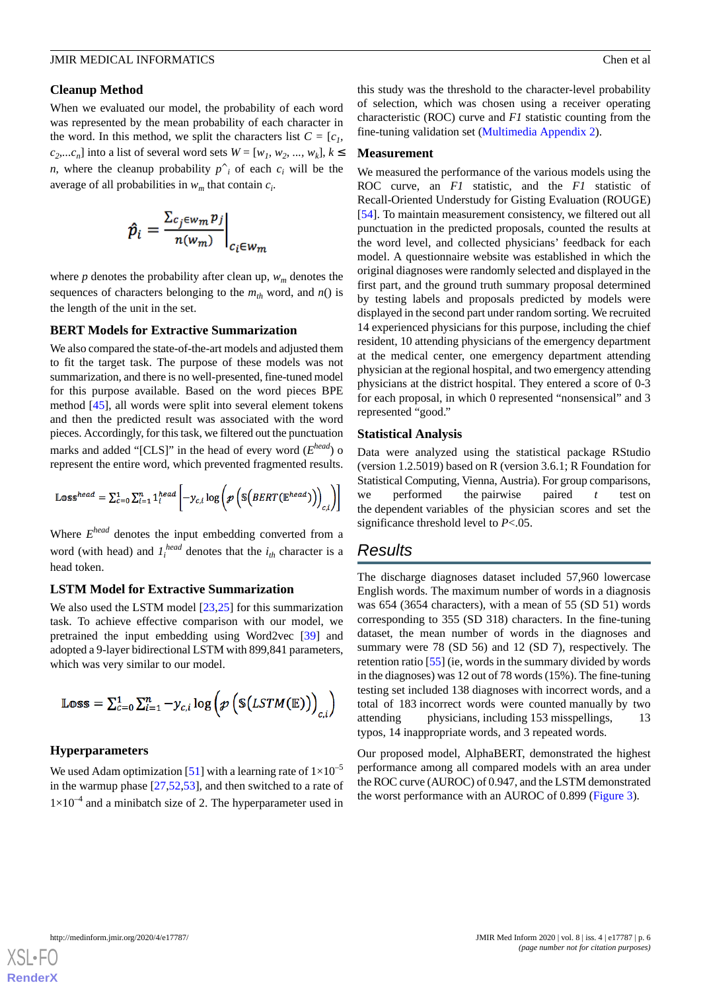### **Cleanup Method**

When we evaluated our model, the probability of each word was represented by the mean probability of each character in the word. In this method, we split the characters list  $C = [c_1, c_2]$  $c_2$ ....*c*<sub>n</sub>] into a list of several word sets  $W = [w_1, w_2, ..., w_k], k \leq$ *n*, where the cleanup probability  $p^i$  of each  $c_i$  will be the average of all probabilities in *w<sup>m</sup>* that contain *c<sup>i</sup>* .

$$
\hat{p}_i = \frac{\sum_{c_j \in w_m} p_j}{n(w_m)}\bigg|_{c_i \in w_m}
$$

where  $p$  denotes the probability after clean up,  $w_m$  denotes the sequences of characters belonging to the  $m<sub>th</sub>$  word, and  $n()$  is the length of the unit in the set.

### **BERT Models for Extractive Summarization**

We also compared the state-of-the-art models and adjusted them to fit the target task. The purpose of these models was not summarization, and there is no well-presented, fine-tuned model for this purpose available. Based on the word pieces BPE method [[45\]](#page-12-12), all words were split into several element tokens and then the predicted result was associated with the word pieces. Accordingly, for this task, we filtered out the punctuation marks and added "[CLS]" in the head of every word (*E head*) o represent the entire word, which prevented fragmented results.

$$
\mathbb{Loss}^{head} = \sum_{c=0}^{1} \sum_{i=1}^{n} 1_i^{head} \left[ -y_{c,i} \log \left( \mathcal{P} \left( \mathbb{S} \left( BERT(\mathbb{E}^{head}) \right) \right)_{c,i} \right) \right]
$$

Where *E head* denotes the input embedding converted from a word (with head) and  $I_i^{head}$  denotes that the  $i_{th}$  character is a head token.

### **LSTM Model for Extractive Summarization**

We also used the LSTM model [[23,](#page-11-10)[25](#page-11-12)] for this summarization task. To achieve effective comparison with our model, we pretrained the input embedding using Word2vec [\[39](#page-12-6)] and adopted a 9-layer bidirectional LSTM with 899,841 parameters, which was very similar to our model.

$$
\mathbb{Loss} = \sum_{c=0}^{1} \sum_{i=1}^{n} -\mathcal{Y}_{c,i} \log \left(\mathcal{P}\left(\mathbb{S}(LSTM(\mathbb{E}))\right)_{c,i}\right)
$$

# **Hyperparameters**

We used Adam optimization [\[51](#page-12-18)] with a learning rate of  $1\times10^{-5}$ in the warmup phase  $[27,52,53]$  $[27,52,53]$  $[27,52,53]$  $[27,52,53]$  $[27,52,53]$ , and then switched to a rate of  $1\times10^{-4}$  and a minibatch size of 2. The hyperparameter used in

this study was the threshold to the character-level probability of selection, which was chosen using a receiver operating characteristic (ROC) curve and *F1* statistic counting from the fine-tuning validation set ([Multimedia Appendix 2\)](#page-10-8).

#### **Measurement**

We measured the performance of the various models using the ROC curve, an *F1* statistic, and the *F1* statistic of Recall-Oriented Understudy for Gisting Evaluation (ROUGE) [[54\]](#page-12-21). To maintain measurement consistency, we filtered out all punctuation in the predicted proposals, counted the results at the word level, and collected physicians' feedback for each model. A questionnaire website was established in which the original diagnoses were randomly selected and displayed in the first part, and the ground truth summary proposal determined by testing labels and proposals predicted by models were displayed in the second part under random sorting. We recruited 14 experienced physicians for this purpose, including the chief resident, 10 attending physicians of the emergency department at the medical center, one emergency department attending physician at the regional hospital, and two emergency attending physicians at the district hospital. They entered a score of 0-3 for each proposal, in which 0 represented "nonsensical" and 3 represented "good."

#### **Statistical Analysis**

Data were analyzed using the statistical package RStudio (version 1.2.5019) based on R (version 3.6.1; R Foundation for Statistical Computing, Vienna, Austria). For group comparisons, we performed the pairwise paired *t* test on the dependent variables of the physician scores and set the significance threshold level to *P*<.05.

# *Results*

The discharge diagnoses dataset included 57,960 lowercase English words. The maximum number of words in a diagnosis was 654 (3654 characters), with a mean of 55 (SD 51) words corresponding to 355 (SD 318) characters. In the fine-tuning dataset, the mean number of words in the diagnoses and summary were 78 (SD 56) and 12 (SD 7), respectively. The retention ratio [[55\]](#page-12-22) (ie, words in the summary divided by words in the diagnoses) was 12 out of 78 words (15%). The fine-tuning testing set included 138 diagnoses with incorrect words, and a total of 183 incorrect words were counted manually by two attending physicians, including 153 misspellings, 13 typos, 14 inappropriate words, and 3 repeated words.

Our proposed model, AlphaBERT, demonstrated the highest performance among all compared models with an area under the ROC curve (AUROC) of 0.947, and the LSTM demonstrated the worst performance with an AUROC of 0.899 ([Figure 3\)](#page-6-0).

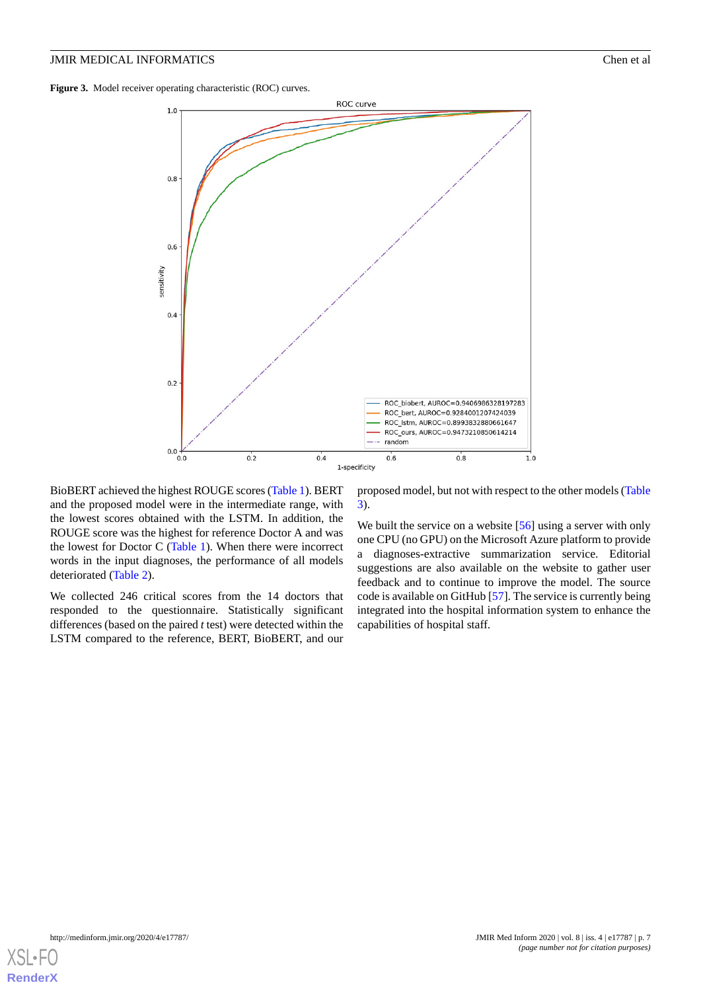<span id="page-6-0"></span>**Figure 3.** Model receiver operating characteristic (ROC) curves.



BioBERT achieved the highest ROUGE scores [\(Table 1](#page-7-0)). BERT and the proposed model were in the intermediate range, with the lowest scores obtained with the LSTM. In addition, the ROUGE score was the highest for reference Doctor A and was the lowest for Doctor C [\(Table 1\)](#page-7-0). When there were incorrect words in the input diagnoses, the performance of all models deteriorated [\(Table 2\)](#page-7-1).

We collected 246 critical scores from the 14 doctors that responded to the questionnaire. Statistically significant differences (based on the paired *t* test) were detected within the LSTM compared to the reference, BERT, BioBERT, and our

proposed model, but not with respect to the other models ([Table](#page-8-0) [3\)](#page-8-0).

We built the service on a website [\[56](#page-13-0)] using a server with only one CPU (no GPU) on the Microsoft Azure platform to provide a diagnoses-extractive summarization service. Editorial suggestions are also available on the website to gather user feedback and to continue to improve the model. The source code is available on GitHub [\[57](#page-13-1)]. The service is currently being integrated into the hospital information system to enhance the capabilities of hospital staff.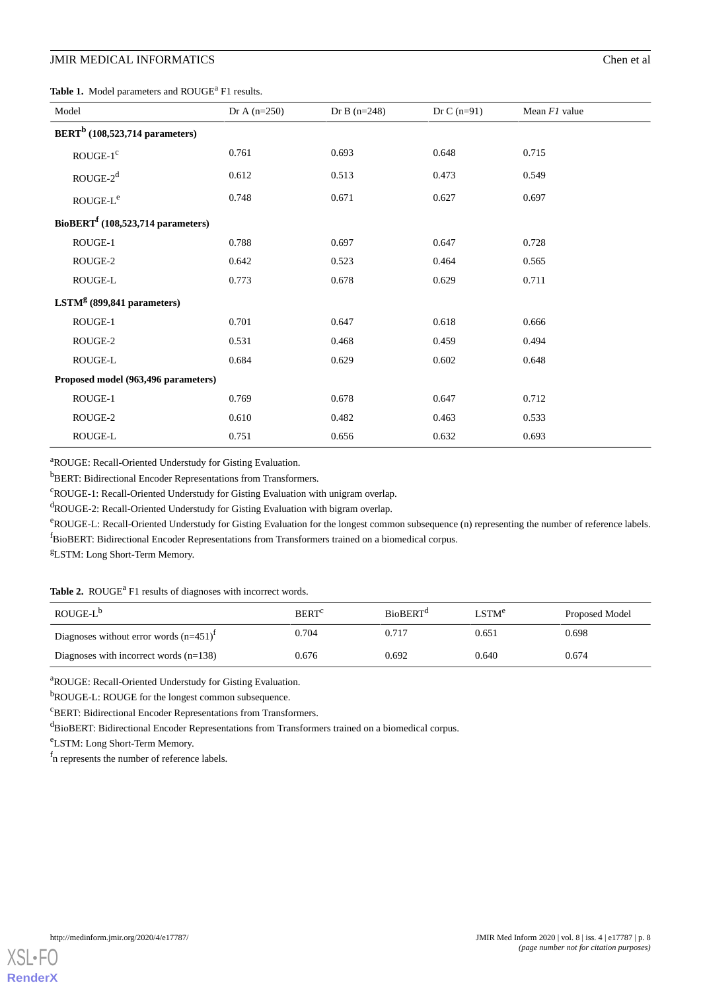<span id="page-7-0"></span>Table 1. Model parameters and ROUGE<sup>a</sup> F1 results.

| Model                               | Dr A $(n=250)$ | Dr B $(n=248)$ | Dr C $(n=91)$ | Mean $FI$ value |
|-------------------------------------|----------------|----------------|---------------|-----------------|
| $BERTb$ (108,523,714 parameters)    |                |                |               |                 |
| $ROUGE-1c$                          | 0.761          | 0.693          | 0.648         | 0.715           |
| $ROUGE-2d$                          | 0.612          | 0.513          | 0.473         | 0.549           |
| $ROUGE-Le$                          | 0.748          | 0.671          | 0.627         | 0.697           |
| $BioBERTf (108,523,714 parameters)$ |                |                |               |                 |
| ROUGE-1                             | 0.788          | 0.697          | 0.647         | 0.728           |
| ROUGE-2                             | 0.642          | 0.523          | 0.464         | 0.565           |
| ROUGE-L                             | 0.773          | 0.678          | 0.629         | 0.711           |
| $LSTMg$ (899,841 parameters)        |                |                |               |                 |
| ROUGE-1                             | 0.701          | 0.647          | 0.618         | 0.666           |
| ROUGE-2                             | 0.531          | 0.468          | 0.459         | 0.494           |
| ROUGE-L                             | 0.684          | 0.629          | 0.602         | 0.648           |
| Proposed model (963,496 parameters) |                |                |               |                 |
| ROUGE-1                             | 0.769          | 0.678          | 0.647         | 0.712           |
| ROUGE-2                             | 0.610          | 0.482          | 0.463         | 0.533           |
| ROUGE-L                             | 0.751          | 0.656          | 0.632         | 0.693           |

<sup>a</sup>ROUGE: Recall-Oriented Understudy for Gisting Evaluation.

<sup>b</sup>BERT: Bidirectional Encoder Representations from Transformers.

<sup>c</sup>ROUGE-1: Recall-Oriented Understudy for Gisting Evaluation with unigram overlap.

 $d_{\text{ROUGE-2}: \text{Recall-Oriented Understanding Evaluation with bigram overlap.}$ 

<span id="page-7-1"></span>eROUGE-L: Recall-Oriented Understudy for Gisting Evaluation for the longest common subsequence (n) representing the number of reference labels. <sup>f</sup>BioBERT: Bidirectional Encoder Representations from Transformers trained on a biomedical corpus.

<sup>g</sup>LSTM: Long Short-Term Memory.

Table 2. ROUGE<sup>a</sup> F1 results of diagnoses with incorrect words.

| ROUGE-L <sup>b</sup>                        | <b>BERT</b> <sup>c</sup> | <b>BioBERT</b> <sup>d</sup> | LSTM <sup>e</sup> | Proposed Model |
|---------------------------------------------|--------------------------|-----------------------------|-------------------|----------------|
| Diagnoses without error words $(n=451)^{1}$ | 0.704                    | 0.717                       | 0.651             | 0.698          |
| Diagnoses with incorrect words $(n=138)$    | 0.676                    | 0.692                       | 0.640             | 0.674          |

<sup>a</sup>ROUGE: Recall-Oriented Understudy for Gisting Evaluation.

bROUGE-L: ROUGE for the longest common subsequence.

 $\rm ^{c}BERT: Bidirectional\ Encoder\ Representations\ from\ Transformers.$ 

dBioBERT: Bidirectional Encoder Representations from Transformers trained on a biomedical corpus.

<sup>e</sup>LSTM: Long Short-Term Memory.

f n represents the number of reference labels.

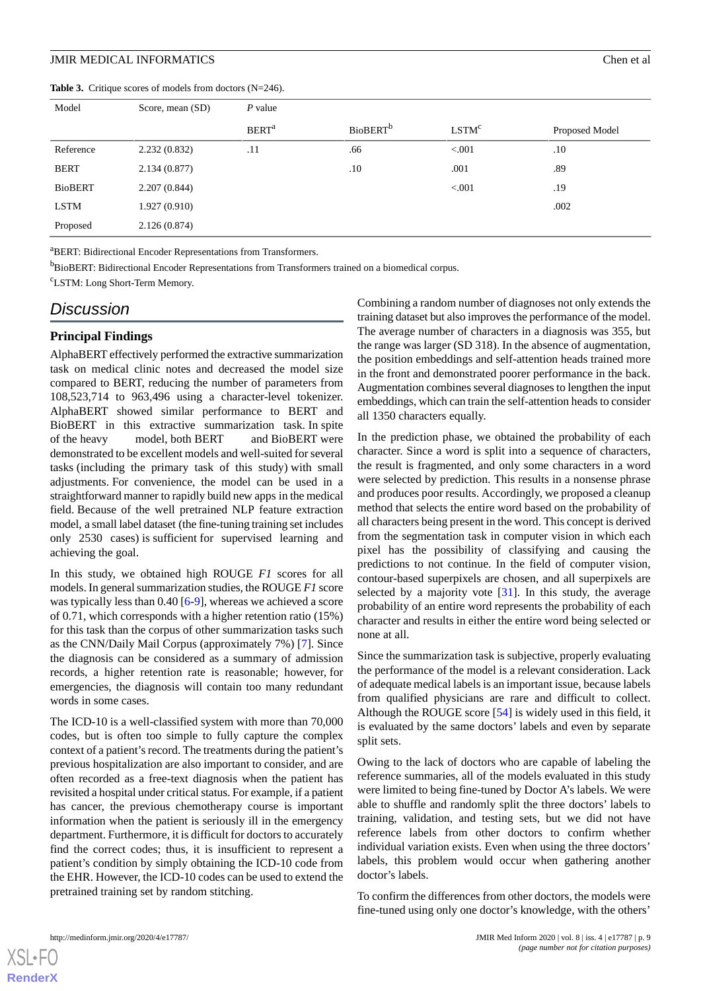<span id="page-8-0"></span>**Table 3.** Critique scores of models from doctors (N=246).

| Model          | Score, mean (SD) | $P$ value               |                      |                   |                |
|----------------|------------------|-------------------------|----------------------|-------------------|----------------|
|                |                  | <b>BERT<sup>a</sup></b> | BioBERT <sup>b</sup> | LSTM <sup>c</sup> | Proposed Model |
| Reference      | 2.232(0.832)     | .11                     | .66                  | < 0.001           | .10            |
| <b>BERT</b>    | 2.134(0.877)     |                         | .10                  | .001              | .89            |
| <b>BioBERT</b> | 2.207(0.844)     |                         |                      | < 0.001           | .19            |
| <b>LSTM</b>    | 1.927(0.910)     |                         |                      |                   | .002           |
| Proposed       | 2.126(0.874)     |                         |                      |                   |                |

<sup>a</sup>BERT: Bidirectional Encoder Representations from Transformers.

<sup>b</sup>BioBERT: Bidirectional Encoder Representations from Transformers trained on a biomedical corpus.

<sup>c</sup>LSTM: Long Short-Term Memory.

# *Discussion*

# **Principal Findings**

AlphaBERT effectively performed the extractive summarization task on medical clinic notes and decreased the model size compared to BERT, reducing the number of parameters from 108,523,714 to 963,496 using a character-level tokenizer. AlphaBERT showed similar performance to BERT and BioBERT in this extractive summarization task. In spite of the heavy model, both BERT and BioBERT were demonstrated to be excellent models and well-suited for several tasks (including the primary task of this study) with small adjustments. For convenience, the model can be used in a straightforward manner to rapidly build new apps in the medical field. Because of the well pretrained NLP feature extraction model, a small label dataset (the fine-tuning training set includes only 2530 cases) is sufficient for supervised learning and achieving the goal.

In this study, we obtained high ROUGE *F1* scores for all models. In general summarization studies, the ROUGE *F1* score was typically less than 0.40 [[6-](#page-10-9)[9](#page-10-4)], whereas we achieved a score of 0.71, which corresponds with a higher retention ratio (15%) for this task than the corpus of other summarization tasks such as the CNN/Daily Mail Corpus (approximately 7%) [\[7](#page-10-10)]. Since the diagnosis can be considered as a summary of admission records, a higher retention rate is reasonable; however, for emergencies, the diagnosis will contain too many redundant words in some cases.

The ICD-10 is a well-classified system with more than 70,000 codes, but is often too simple to fully capture the complex context of a patient's record. The treatments during the patient's previous hospitalization are also important to consider, and are often recorded as a free-text diagnosis when the patient has revisited a hospital under critical status. For example, if a patient has cancer, the previous chemotherapy course is important information when the patient is seriously ill in the emergency department. Furthermore, it is difficult for doctors to accurately find the correct codes; thus, it is insufficient to represent a patient's condition by simply obtaining the ICD-10 code from the EHR. However, the ICD-10 codes can be used to extend the pretrained training set by random stitching.

Combining a random number of diagnoses not only extends the training dataset but also improves the performance of the model. The average number of characters in a diagnosis was 355, but the range was larger (SD 318). In the absence of augmentation, the position embeddings and self-attention heads trained more in the front and demonstrated poorer performance in the back. Augmentation combines several diagnoses to lengthen the input embeddings, which can train the self-attention heads to consider all 1350 characters equally.

In the prediction phase, we obtained the probability of each character. Since a word is split into a sequence of characters, the result is fragmented, and only some characters in a word were selected by prediction. This results in a nonsense phrase and produces poor results. Accordingly, we proposed a cleanup method that selects the entire word based on the probability of all characters being present in the word. This concept is derived from the segmentation task in computer vision in which each pixel has the possibility of classifying and causing the predictions to not continue. In the field of computer vision, contour-based superpixels are chosen, and all superpixels are selected by a majority vote  $[31]$  $[31]$ . In this study, the average probability of an entire word represents the probability of each character and results in either the entire word being selected or none at all.

Since the summarization task is subjective, properly evaluating the performance of the model is a relevant consideration. Lack of adequate medical labels is an important issue, because labels from qualified physicians are rare and difficult to collect. Although the ROUGE score [[54\]](#page-12-21) is widely used in this field, it is evaluated by the same doctors' labels and even by separate split sets.

Owing to the lack of doctors who are capable of labeling the reference summaries, all of the models evaluated in this study were limited to being fine-tuned by Doctor A's labels. We were able to shuffle and randomly split the three doctors' labels to training, validation, and testing sets, but we did not have reference labels from other doctors to confirm whether individual variation exists. Even when using the three doctors' labels, this problem would occur when gathering another doctor's labels.

To confirm the differences from other doctors, the models were fine-tuned using only one doctor's knowledge, with the others'

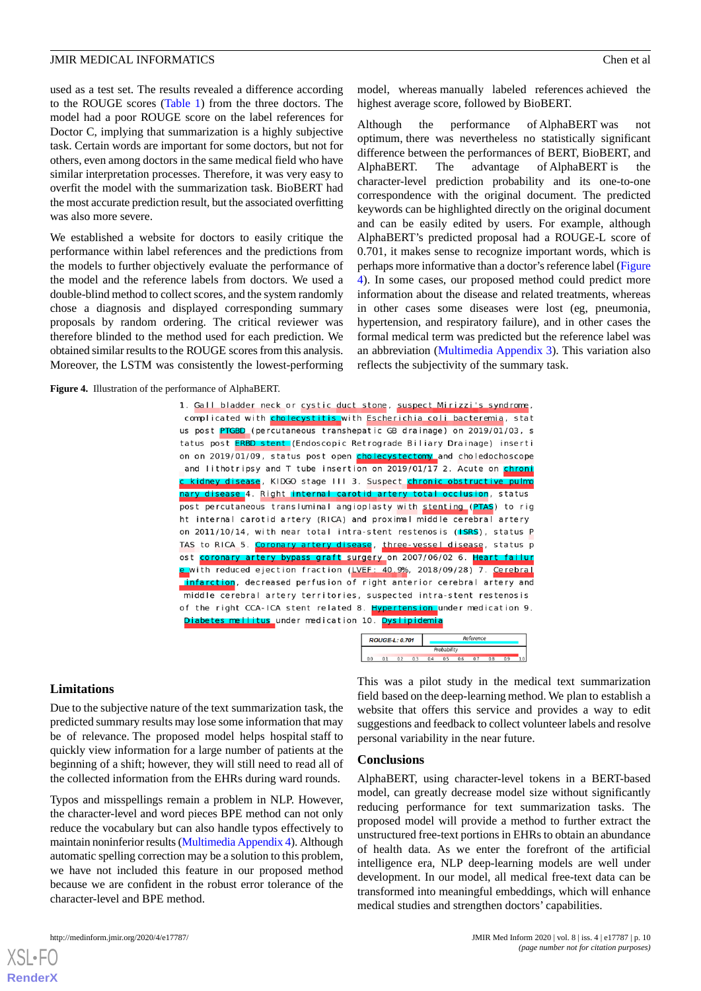used as a test set. The results revealed a difference according to the ROUGE scores ([Table 1](#page-7-0)) from the three doctors. The model had a poor ROUGE score on the label references for Doctor C, implying that summarization is a highly subjective task. Certain words are important for some doctors, but not for others, even among doctors in the same medical field who have similar interpretation processes. Therefore, it was very easy to overfit the model with the summarization task. BioBERT had the most accurate prediction result, but the associated overfitting was also more severe.

We established a website for doctors to easily critique the performance within label references and the predictions from the models to further objectively evaluate the performance of the model and the reference labels from doctors. We used a double-blind method to collect scores, and the system randomly chose a diagnosis and displayed corresponding summary proposals by random ordering. The critical reviewer was therefore blinded to the method used for each prediction. We obtained similar results to the ROUGE scores from this analysis. Moreover, the LSTM was consistently the lowest-performing

<span id="page-9-0"></span>**Figure 4.** Illustration of the performance of AlphaBERT.

model, whereas manually labeled references achieved the highest average score, followed by BioBERT.

Although the performance of AlphaBERT was not optimum, there was nevertheless no statistically significant difference between the performances of BERT, BioBERT, and AlphaBERT. The advantage of AlphaBERT is the character-level prediction probability and its one-to-one correspondence with the original document. The predicted keywords can be highlighted directly on the original document and can be easily edited by users. For example, although AlphaBERT's predicted proposal had a ROUGE-L score of 0.701, it makes sense to recognize important words, which is perhaps more informative than a doctor's reference label [\(Figure](#page-9-0) [4\)](#page-9-0). In some cases, our proposed method could predict more information about the disease and related treatments, whereas in other cases some diseases were lost (eg, pneumonia, hypertension, and respiratory failure), and in other cases the formal medical term was predicted but the reference label was an abbreviation ([Multimedia Appendix 3\)](#page-10-11). This variation also reflects the subjectivity of the summary task.

| 1. Gall bladder neck or cystic duct stone, suspect Mirizzi's syndrome,        |
|-------------------------------------------------------------------------------|
| complicated with cholecystitis with Escherichia coli bacteremia, stat         |
| us post PTGBD (percutaneous transhepatic GB drainage) on 2019/01/03, s        |
| tatus post <b>ERBD stent</b> (Endoscopic Retrograde Biliary Drainage) inserti |
| on on 2019/01/09, status post open cholecystectomy and choledochoscope        |
| and lithotripsy and T tube insertion on 2019/01/17 2. Acute on chroni         |
| c kidney disease, KIDGO stage III 3. Suspect chronic obstructive pulmo        |
| nary disease 4. Right internal carotid artery total occlusion, status         |
| post percutaneous transluminal angioplasty with stenting (PTAS) to rig        |
| ht internal carotid artery (RICA) and proximal middle cerebral artery         |
| on 2011/10/14, with near total intra-stent restenosis (ISRS), status P        |
| TAS to RICA 5. Coronary artery disease, three-vessel disease, status p        |
| ost coronary artery bypass graft surgery on 2007/06/02 6. Heart failur        |
| e with reduced ejection fraction (LVEF: 40.9%, 2018/09/28) 7. Cerebral        |
| infarction, decreased perfusion of right anterior cerebral artery and         |
| middle cerebral artery territories, suspected intra-stent restenosis          |
| of the right CCA-ICA stent related 8. Hypertension under medication 9.        |
| Diabetes mellitus under medication 10. Dyslipidemia                           |

|             | <b>ROUGE-L: 0.701</b> |  |  | Reference |  |  |  |  |  |
|-------------|-----------------------|--|--|-----------|--|--|--|--|--|
| Probability |                       |  |  |           |  |  |  |  |  |
|             |                       |  |  |           |  |  |  |  |  |

# **Limitations**

Due to the subjective nature of the text summarization task, the predicted summary results may lose some information that may be of relevance. The proposed model helps hospital staff to quickly view information for a large number of patients at the beginning of a shift; however, they will still need to read all of the collected information from the EHRs during ward rounds.

Typos and misspellings remain a problem in NLP. However, the character-level and word pieces BPE method can not only reduce the vocabulary but can also handle typos effectively to maintain noninferior results [\(Multimedia Appendix 4](#page-10-12)). Although automatic spelling correction may be a solution to this problem, we have not included this feature in our proposed method because we are confident in the robust error tolerance of the character-level and BPE method.

This was a pilot study in the medical text summarization field based on the deep-learning method. We plan to establish a website that offers this service and provides a way to edit suggestions and feedback to collect volunteer labels and resolve personal variability in the near future.

# **Conclusions**

AlphaBERT, using character-level tokens in a BERT-based model, can greatly decrease model size without significantly reducing performance for text summarization tasks. The proposed model will provide a method to further extract the unstructured free-text portions in EHRs to obtain an abundance of health data. As we enter the forefront of the artificial intelligence era, NLP deep-learning models are well under development. In our model, all medical free-text data can be transformed into meaningful embeddings, which will enhance medical studies and strengthen doctors' capabilities.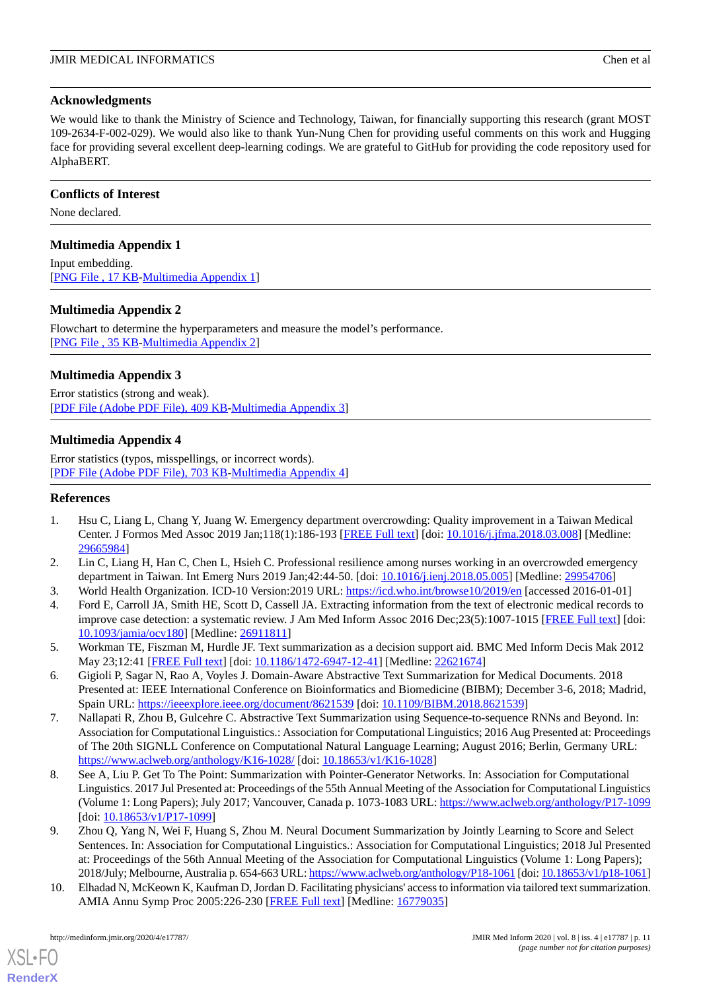# **Acknowledgments**

We would like to thank the Ministry of Science and Technology, Taiwan, for financially supporting this research (grant MOST) 109-2634-F-002-029). We would also like to thank Yun-Nung Chen for providing useful comments on this work and Hugging face for providing several excellent deep-learning codings. We are grateful to GitHub for providing the code repository used for AlphaBERT.

# **Conflicts of Interest**

<span id="page-10-7"></span>None declared.

# **Multimedia Appendix 1**

<span id="page-10-8"></span>Input embedding. [[PNG File , 17 KB-Multimedia Appendix 1](https://jmir.org/api/download?alt_name=medinform_v8i4e17787_app1.PNG&filename=274674d633e74f5633e87f9ab13c67ce.PNG)]

# **Multimedia Appendix 2**

<span id="page-10-11"></span>Flowchart to determine the hyperparameters and measure the model's performance. [[PNG File , 35 KB-Multimedia Appendix 2](https://jmir.org/api/download?alt_name=medinform_v8i4e17787_app2.PNG&filename=c603e8f4ee856b660a3d9938805cd10a.PNG)]

# **Multimedia Appendix 3**

<span id="page-10-12"></span>Error statistics (strong and weak). [[PDF File \(Adobe PDF File\), 409 KB](https://jmir.org/api/download?alt_name=medinform_v8i4e17787_app3.pdf&filename=68530e1a692caafe3657d9164090df12.pdf)-[Multimedia Appendix 3\]](https://jmir.org/api/download?alt_name=medinform_v8i4e17787_app3.pdf&filename=68530e1a692caafe3657d9164090df12.pdf)

# **Multimedia Appendix 4**

<span id="page-10-0"></span>Error statistics (typos, misspellings, or incorrect words). [[PDF File \(Adobe PDF File\), 703 KB](https://jmir.org/api/download?alt_name=medinform_v8i4e17787_app4.pdf&filename=67e6cba6dd3efe8f126bcd6a019f9b5b.pdf)-[Multimedia Appendix 4\]](https://jmir.org/api/download?alt_name=medinform_v8i4e17787_app4.pdf&filename=67e6cba6dd3efe8f126bcd6a019f9b5b.pdf)

# <span id="page-10-1"></span>**References**

- <span id="page-10-2"></span>1. Hsu C, Liang L, Chang Y, Juang W. Emergency department overcrowding: Quality improvement in a Taiwan Medical Center. J Formos Med Assoc 2019 Jan;118(1):186-193 [[FREE Full text](https://linkinghub.elsevier.com/retrieve/pii/S0929-6646(17)30790-8)] [doi: [10.1016/j.jfma.2018.03.008\]](http://dx.doi.org/10.1016/j.jfma.2018.03.008) [Medline: [29665984](http://www.ncbi.nlm.nih.gov/entrez/query.fcgi?cmd=Retrieve&db=PubMed&list_uids=29665984&dopt=Abstract)]
- <span id="page-10-3"></span>2. Lin C, Liang H, Han C, Chen L, Hsieh C. Professional resilience among nurses working in an overcrowded emergency department in Taiwan. Int Emerg Nurs 2019 Jan;42:44-50. [doi: [10.1016/j.ienj.2018.05.005](http://dx.doi.org/10.1016/j.ienj.2018.05.005)] [Medline: [29954706\]](http://www.ncbi.nlm.nih.gov/entrez/query.fcgi?cmd=Retrieve&db=PubMed&list_uids=29954706&dopt=Abstract)
- <span id="page-10-5"></span>3. World Health Organization. ICD-10 Version:2019 URL:<https://icd.who.int/browse10/2019/en> [accessed 2016-01-01]
- <span id="page-10-9"></span>4. Ford E, Carroll JA, Smith HE, Scott D, Cassell JA. Extracting information from the text of electronic medical records to improve case detection: a systematic review. J Am Med Inform Assoc 2016 Dec; 23(5):1007-1015 [\[FREE Full text\]](http://europepmc.org/abstract/MED/26911811) [doi: [10.1093/jamia/ocv180](http://dx.doi.org/10.1093/jamia/ocv180)] [Medline: [26911811](http://www.ncbi.nlm.nih.gov/entrez/query.fcgi?cmd=Retrieve&db=PubMed&list_uids=26911811&dopt=Abstract)]
- <span id="page-10-10"></span>5. Workman TE, Fiszman M, Hurdle JF. Text summarization as a decision support aid. BMC Med Inform Decis Mak 2012 May 23;12:41 [[FREE Full text](https://bmcmedinformdecismak.biomedcentral.com/articles/10.1186/1472-6947-12-41)] [doi: [10.1186/1472-6947-12-41\]](http://dx.doi.org/10.1186/1472-6947-12-41) [Medline: [22621674](http://www.ncbi.nlm.nih.gov/entrez/query.fcgi?cmd=Retrieve&db=PubMed&list_uids=22621674&dopt=Abstract)]
- 6. Gigioli P, Sagar N, Rao A, Voyles J. Domain-Aware Abstractive Text Summarization for Medical Documents. 2018 Presented at: IEEE International Conference on Bioinformatics and Biomedicine (BIBM); December 3-6, 2018; Madrid, Spain URL:<https://ieeexplore.ieee.org/document/8621539> [doi: [10.1109/BIBM.2018.8621539](http://dx.doi.org/10.1109/BIBM.2018.8621539)]
- 7. Nallapati R, Zhou B, Gulcehre C. Abstractive Text Summarization using Sequence-to-sequence RNNs and Beyond. In: Association for Computational Linguistics.: Association for Computational Linguistics; 2016 Aug Presented at: Proceedings of The 20th SIGNLL Conference on Computational Natural Language Learning; August 2016; Berlin, Germany URL: <https://www.aclweb.org/anthology/K16-1028/> [doi: [10.18653/v1/K16-1028\]](http://dx.doi.org/10.18653/v1/K16-1028)
- <span id="page-10-6"></span><span id="page-10-4"></span>8. See A, Liu P. Get To The Point: Summarization with Pointer-Generator Networks. In: Association for Computational Linguistics. 2017 Jul Presented at: Proceedings of the 55th Annual Meeting of the Association for Computational Linguistics (Volume 1: Long Papers); July 2017; Vancouver, Canada p. 1073-1083 URL: <https://www.aclweb.org/anthology/P17-1099> [doi: [10.18653/v1/P17-1099\]](http://dx.doi.org/10.18653/v1/P17-1099)
- 9. Zhou Q, Yang N, Wei F, Huang S, Zhou M. Neural Document Summarization by Jointly Learning to Score and Select Sentences. In: Association for Computational Linguistics.: Association for Computational Linguistics; 2018 Jul Presented at: Proceedings of the 56th Annual Meeting of the Association for Computational Linguistics (Volume 1: Long Papers); 2018/July; Melbourne, Australia p. 654-663 URL:<https://www.aclweb.org/anthology/P18-1061> [doi: [10.18653/v1/p18-1061\]](http://dx.doi.org/10.18653/v1/p18-1061)
- 10. Elhadad N, McKeown K, Kaufman D, Jordan D. Facilitating physicians' access to information via tailored text summarization. AMIA Annu Symp Proc 2005:226-230 [\[FREE Full text](http://europepmc.org/abstract/MED/16779035)] [Medline: [16779035](http://www.ncbi.nlm.nih.gov/entrez/query.fcgi?cmd=Retrieve&db=PubMed&list_uids=16779035&dopt=Abstract)]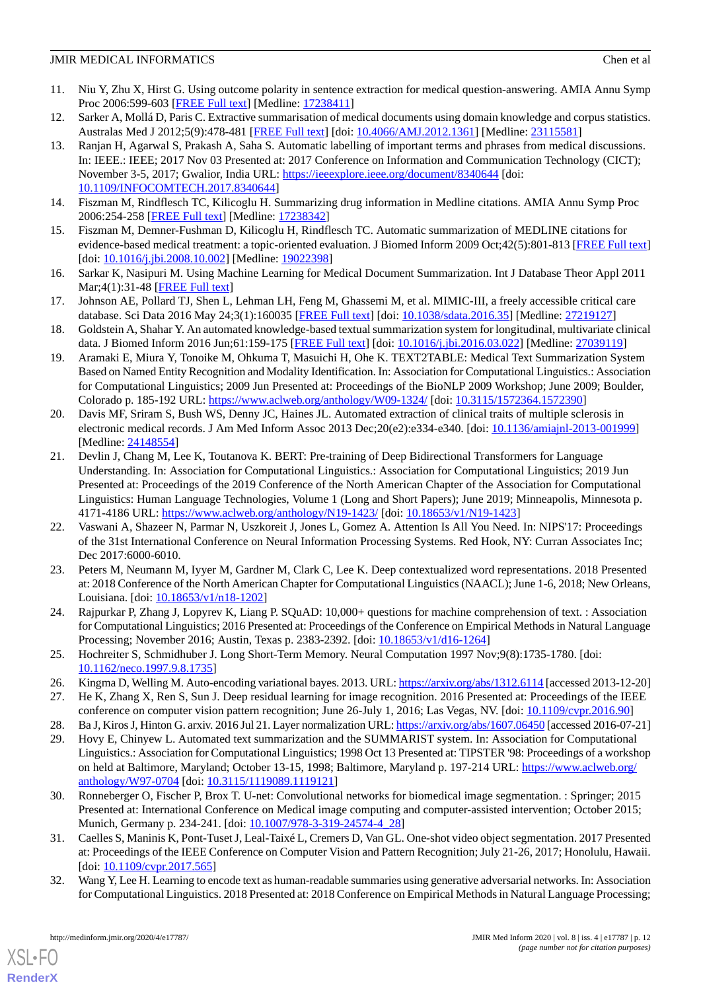- <span id="page-11-4"></span>11. Niu Y, Zhu X, Hirst G. Using outcome polarity in sentence extraction for medical question-answering. AMIA Annu Symp Proc 2006:599-603 [\[FREE Full text\]](http://europepmc.org/abstract/MED/17238411) [Medline: [17238411\]](http://www.ncbi.nlm.nih.gov/entrez/query.fcgi?cmd=Retrieve&db=PubMed&list_uids=17238411&dopt=Abstract)
- <span id="page-11-0"></span>12. Sarker A, Mollá D, Paris C. Extractive summarisation of medical documents using domain knowledge and corpus statistics. Australas Med J 2012;5(9):478-481 [\[FREE Full text\]](http://europepmc.org/abstract/MED/23115581) [doi: [10.4066/AMJ.2012.1361](http://dx.doi.org/10.4066/AMJ.2012.1361)] [Medline: [23115581](http://www.ncbi.nlm.nih.gov/entrez/query.fcgi?cmd=Retrieve&db=PubMed&list_uids=23115581&dopt=Abstract)]
- 13. Ranjan H, Agarwal S, Prakash A, Saha S. Automatic labelling of important terms and phrases from medical discussions. In: IEEE.: IEEE; 2017 Nov 03 Presented at: 2017 Conference on Information and Communication Technology (CICT); November 3-5, 2017; Gwalior, India URL:<https://ieeexplore.ieee.org/document/8340644> [doi: [10.1109/INFOCOMTECH.2017.8340644](http://dx.doi.org/10.1109/INFOCOMTECH.2017.8340644)]
- <span id="page-11-2"></span><span id="page-11-1"></span>14. Fiszman M, Rindflesch TC, Kilicoglu H. Summarizing drug information in Medline citations. AMIA Annu Symp Proc 2006:254-258 [\[FREE Full text\]](http://europepmc.org/abstract/MED/17238342) [Medline: [17238342\]](http://www.ncbi.nlm.nih.gov/entrez/query.fcgi?cmd=Retrieve&db=PubMed&list_uids=17238342&dopt=Abstract)
- <span id="page-11-3"></span>15. Fiszman M, Demner-Fushman D, Kilicoglu H, Rindflesch TC. Automatic summarization of MEDLINE citations for evidence-based medical treatment: a topic-oriented evaluation. J Biomed Inform 2009 Oct;42(5):801-813 [[FREE Full text](https://linkinghub.elsevier.com/retrieve/pii/S1532-0464(08)00126-3)] [doi: [10.1016/j.jbi.2008.10.002\]](http://dx.doi.org/10.1016/j.jbi.2008.10.002) [Medline: [19022398](http://www.ncbi.nlm.nih.gov/entrez/query.fcgi?cmd=Retrieve&db=PubMed&list_uids=19022398&dopt=Abstract)]
- <span id="page-11-5"></span>16. Sarkar K, Nasipuri M. Using Machine Learning for Medical Document Summarization. Int J Database Theor Appl 2011 Mar;4(1):31-48 [[FREE Full text\]](http://modul.repo.mercubuana-yogya.ac.id/modul/files/openjournal/JournalOfDesign/4_586.pdf)
- <span id="page-11-6"></span>17. Johnson AE, Pollard TJ, Shen L, Lehman LH, Feng M, Ghassemi M, et al. MIMIC-III, a freely accessible critical care database. Sci Data 2016 May 24;3(1):160035 [[FREE Full text](http://europepmc.org/abstract/MED/27219127)] [doi: [10.1038/sdata.2016.35](http://dx.doi.org/10.1038/sdata.2016.35)] [Medline: [27219127](http://www.ncbi.nlm.nih.gov/entrez/query.fcgi?cmd=Retrieve&db=PubMed&list_uids=27219127&dopt=Abstract)]
- 18. Goldstein A, Shahar Y. An automated knowledge-based textual summarization system for longitudinal, multivariate clinical data. J Biomed Inform 2016 Jun;61:159-175 [\[FREE Full text](https://linkinghub.elsevier.com/retrieve/pii/S1532-0464(16)30015-6)] [doi: [10.1016/j.jbi.2016.03.022](http://dx.doi.org/10.1016/j.jbi.2016.03.022)] [Medline: [27039119](http://www.ncbi.nlm.nih.gov/entrez/query.fcgi?cmd=Retrieve&db=PubMed&list_uids=27039119&dopt=Abstract)]
- <span id="page-11-7"></span>19. Aramaki E, Miura Y, Tonoike M, Ohkuma T, Masuichi H, Ohe K. TEXT2TABLE: Medical Text Summarization System Based on Named Entity Recognition and Modality Identification. In: Association for Computational Linguistics.: Association for Computational Linguistics; 2009 Jun Presented at: Proceedings of the BioNLP 2009 Workshop; June 2009; Boulder, Colorado p. 185-192 URL:<https://www.aclweb.org/anthology/W09-1324/> [doi: [10.3115/1572364.1572390\]](http://dx.doi.org/10.3115/1572364.1572390)
- <span id="page-11-8"></span>20. Davis MF, Sriram S, Bush WS, Denny JC, Haines JL. Automated extraction of clinical traits of multiple sclerosis in electronic medical records. J Am Med Inform Assoc 2013 Dec;20(e2):e334-e340. [doi: [10.1136/amiajnl-2013-001999\]](http://dx.doi.org/10.1136/amiajnl-2013-001999) [Medline: [24148554](http://www.ncbi.nlm.nih.gov/entrez/query.fcgi?cmd=Retrieve&db=PubMed&list_uids=24148554&dopt=Abstract)]
- <span id="page-11-9"></span>21. Devlin J, Chang M, Lee K, Toutanova K. BERT: Pre-training of Deep Bidirectional Transformers for Language Understanding. In: Association for Computational Linguistics.: Association for Computational Linguistics; 2019 Jun Presented at: Proceedings of the 2019 Conference of the North American Chapter of the Association for Computational Linguistics: Human Language Technologies, Volume 1 (Long and Short Papers); June 2019; Minneapolis, Minnesota p. 4171-4186 URL: <https://www.aclweb.org/anthology/N19-1423/> [doi: [10.18653/v1/N19-1423\]](http://dx.doi.org/10.18653/v1/N19-1423)
- <span id="page-11-10"></span>22. Vaswani A, Shazeer N, Parmar N, Uszkoreit J, Jones L, Gomez A. Attention Is All You Need. In: NIPS'17: Proceedings of the 31st International Conference on Neural Information Processing Systems. Red Hook, NY: Curran Associates Inc; Dec 2017:6000-6010.
- <span id="page-11-12"></span><span id="page-11-11"></span>23. Peters M, Neumann M, Iyyer M, Gardner M, Clark C, Lee K. Deep contextualized word representations. 2018 Presented at: 2018 Conference of the North American Chapter for Computational Linguistics (NAACL); June 1-6, 2018; New Orleans, Louisiana. [doi: [10.18653/v1/n18-1202\]](http://dx.doi.org/10.18653/v1/n18-1202)
- <span id="page-11-14"></span><span id="page-11-13"></span>24. Rajpurkar P, Zhang J, Lopyrev K, Liang P. SQuAD: 10,000+ questions for machine comprehension of text. : Association for Computational Linguistics; 2016 Presented at: Proceedings of the Conference on Empirical Methods in Natural Language Processing; November 2016; Austin, Texas p. 2383-2392. [doi: [10.18653/v1/d16-1264](http://dx.doi.org/10.18653/v1/d16-1264)]
- <span id="page-11-16"></span><span id="page-11-15"></span>25. Hochreiter S, Schmidhuber J. Long Short-Term Memory. Neural Computation 1997 Nov;9(8):1735-1780. [doi: [10.1162/neco.1997.9.8.1735\]](http://dx.doi.org/10.1162/neco.1997.9.8.1735)
- 26. Kingma D, Welling M. Auto-encoding variational bayes. 2013. URL:<https://arxiv.org/abs/1312.6114> [accessed 2013-12-20]
- 27. He K, Zhang X, Ren S, Sun J. Deep residual learning for image recognition. 2016 Presented at: Proceedings of the IEEE conference on computer vision pattern recognition; June 26-July 1, 2016; Las Vegas, NV. [doi: [10.1109/cvpr.2016.90\]](http://dx.doi.org/10.1109/cvpr.2016.90)
- <span id="page-11-17"></span>28. Ba J, Kiros J, Hinton G. arxiv. 2016 Jul 21. Layer normalization URL:<https://arxiv.org/abs/1607.06450> [accessed 2016-07-21]
- <span id="page-11-18"></span>29. Hovy E, Chinyew L. Automated text summarization and the SUMMARIST system. In: Association for Computational Linguistics.: Association for Computational Linguistics; 1998 Oct 13 Presented at: TIPSTER '98: Proceedings of a workshop on held at Baltimore, Maryland; October 13-15, 1998; Baltimore, Maryland p. 197-214 URL: [https://www.aclweb.org/](https://www.aclweb.org/anthology/W97-0704) [anthology/W97-0704](https://www.aclweb.org/anthology/W97-0704) [doi: [10.3115/1119089.1119121\]](http://dx.doi.org/10.3115/1119089.1119121)
- <span id="page-11-19"></span>30. Ronneberger O, Fischer P, Brox T. U-net: Convolutional networks for biomedical image segmentation. : Springer; 2015 Presented at: International Conference on Medical image computing and computer-assisted intervention; October 2015; Munich, Germany p. 234-241. [doi: [10.1007/978-3-319-24574-4\\_28](http://dx.doi.org/10.1007/978-3-319-24574-4_28)]
- 31. Caelles S, Maninis K, Pont-Tuset J, Leal-Taixé L, Cremers D, Van GL. One-shot video object segmentation. 2017 Presented at: Proceedings of the IEEE Conference on Computer Vision and Pattern Recognition; July 21-26, 2017; Honolulu, Hawaii.  $\left[$ doi:  $\frac{10.1109}{\text{cvpr.2017.565}} \right]$
- 32. Wang Y, Lee H. Learning to encode text as human-readable summaries using generative adversarial networks. In: Association for Computational Linguistics. 2018 Presented at: 2018 Conference on Empirical Methods in Natural Language Processing;

 $XS$  • FO **[RenderX](http://www.renderx.com/)**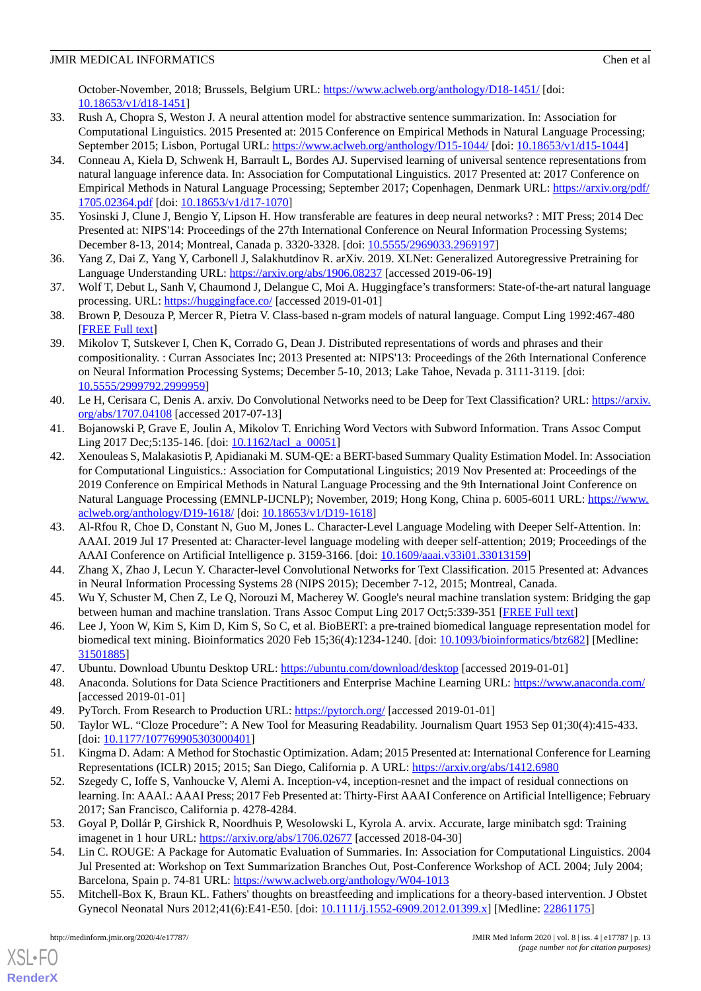October-November, 2018; Brussels, Belgium URL: <https://www.aclweb.org/anthology/D18-1451/> [doi: [10.18653/v1/d18-1451\]](http://dx.doi.org/10.18653/v1/d18-1451)

- <span id="page-12-0"></span>33. Rush A, Chopra S, Weston J. A neural attention model for abstractive sentence summarization. In: Association for Computational Linguistics. 2015 Presented at: 2015 Conference on Empirical Methods in Natural Language Processing; September 2015; Lisbon, Portugal URL: <https://www.aclweb.org/anthology/D15-1044/> [doi: [10.18653/v1/d15-1044](http://dx.doi.org/10.18653/v1/d15-1044)]
- <span id="page-12-1"></span>34. Conneau A, Kiela D, Schwenk H, Barrault L, Bordes AJ. Supervised learning of universal sentence representations from natural language inference data. In: Association for Computational Linguistics. 2017 Presented at: 2017 Conference on Empirical Methods in Natural Language Processing; September 2017; Copenhagen, Denmark URL: [https://arxiv.org/pdf/](https://arxiv.org/pdf/1705.02364.pdf) [1705.02364.pdf](https://arxiv.org/pdf/1705.02364.pdf) [doi: [10.18653/v1/d17-1070](http://dx.doi.org/10.18653/v1/d17-1070)]
- <span id="page-12-3"></span><span id="page-12-2"></span>35. Yosinski J, Clune J, Bengio Y, Lipson H. How transferable are features in deep neural networks? : MIT Press; 2014 Dec Presented at: NIPS'14: Proceedings of the 27th International Conference on Neural Information Processing Systems; December 8-13, 2014; Montreal, Canada p. 3320-3328. [doi: [10.5555/2969033.2969197](http://dx.doi.org/10.5555/2969033.2969197)]
- <span id="page-12-4"></span>36. Yang Z, Dai Z, Yang Y, Carbonell J, Salakhutdinov R. arXiv. 2019. XLNet: Generalized Autoregressive Pretraining for Language Understanding URL:<https://arxiv.org/abs/1906.08237> [accessed 2019-06-19]
- <span id="page-12-5"></span>37. Wolf T, Debut L, Sanh V, Chaumond J, Delangue C, Moi A. Huggingface's transformers: State-of-the-art natural language processing. URL: <https://huggingface.co/> [accessed 2019-01-01]
- <span id="page-12-6"></span>38. Brown P, Desouza P, Mercer R, Pietra V. Class-based n-gram models of natural language. Comput Ling 1992:467-480 [[FREE Full text](https://www.aclweb.org/anthology/J92-4003/)]
- <span id="page-12-7"></span>39. Mikolov T, Sutskever I, Chen K, Corrado G, Dean J. Distributed representations of words and phrases and their compositionality. : Curran Associates Inc; 2013 Presented at: NIPS'13: Proceedings of the 26th International Conference on Neural Information Processing Systems; December 5-10, 2013; Lake Tahoe, Nevada p. 3111-3119. [doi: [10.5555/2999792.2999959](http://dx.doi.org/10.5555/2999792.2999959)]
- <span id="page-12-9"></span><span id="page-12-8"></span>40. Le H, Cerisara C, Denis A. arxiv. Do Convolutional Networks need to be Deep for Text Classification? URL: [https://arxiv.](https://arxiv.org/abs/1707.04108) [org/abs/1707.04108](https://arxiv.org/abs/1707.04108) [accessed 2017-07-13]
- 41. Bojanowski P, Grave E, Joulin A, Mikolov T. Enriching Word Vectors with Subword Information. Trans Assoc Comput Ling 2017 Dec;5:135-146. [doi: [10.1162/tacl\\_a\\_00051\]](http://dx.doi.org/10.1162/tacl_a_00051)
- <span id="page-12-10"></span>42. Xenouleas S, Malakasiotis P, Apidianaki M. SUM-QE: a BERT-based Summary Quality Estimation Model. In: Association for Computational Linguistics.: Association for Computational Linguistics; 2019 Nov Presented at: Proceedings of the 2019 Conference on Empirical Methods in Natural Language Processing and the 9th International Joint Conference on Natural Language Processing (EMNLP-IJCNLP); November, 2019; Hong Kong, China p. 6005-6011 URL: [https://www.](https://www.aclweb.org/anthology/D19-1618/) [aclweb.org/anthology/D19-1618/](https://www.aclweb.org/anthology/D19-1618/) [doi: [10.18653/v1/D19-1618](http://dx.doi.org/10.18653/v1/D19-1618)]
- <span id="page-12-12"></span><span id="page-12-11"></span>43. Al-Rfou R, Choe D, Constant N, Guo M, Jones L. Character-Level Language Modeling with Deeper Self-Attention. In: AAAI. 2019 Jul 17 Presented at: Character-level language modeling with deeper self-attention; 2019; Proceedings of the AAAI Conference on Artificial Intelligence p. 3159-3166. [doi: [10.1609/aaai.v33i01.33013159\]](http://dx.doi.org/10.1609/aaai.v33i01.33013159)
- <span id="page-12-13"></span>44. Zhang X, Zhao J, Lecun Y. Character-level Convolutional Networks for Text Classification. 2015 Presented at: Advances in Neural Information Processing Systems 28 (NIPS 2015); December 7-12, 2015; Montreal, Canada.
- <span id="page-12-14"></span>45. Wu Y, Schuster M, Chen Z, Le Q, Norouzi M, Macherey W. Google's neural machine translation system: Bridging the gap between human and machine translation. Trans Assoc Comput Ling 2017 Oct;5:339-351 [\[FREE Full text\]](https://www.aclweb.org/anthology/Q17-1024.pdf)
- <span id="page-12-16"></span><span id="page-12-15"></span>46. Lee J, Yoon W, Kim S, Kim D, Kim S, So C, et al. BioBERT: a pre-trained biomedical language representation model for biomedical text mining. Bioinformatics 2020 Feb 15;36(4):1234-1240. [doi: [10.1093/bioinformatics/btz682](http://dx.doi.org/10.1093/bioinformatics/btz682)] [Medline: [31501885](http://www.ncbi.nlm.nih.gov/entrez/query.fcgi?cmd=Retrieve&db=PubMed&list_uids=31501885&dopt=Abstract)]
- <span id="page-12-17"></span>47. Ubuntu. Download Ubuntu Desktop URL: <https://ubuntu.com/download/desktop> [accessed 2019-01-01]
- <span id="page-12-18"></span>48. Anaconda. Solutions for Data Science Practitioners and Enterprise Machine Learning URL:<https://www.anaconda.com/> [accessed 2019-01-01]
- <span id="page-12-19"></span>49. PyTorch. From Research to Production URL:<https://pytorch.org/> [accessed 2019-01-01]
- 50. Taylor WL. "Cloze Procedure": A New Tool for Measuring Readability. Journalism Quart 1953 Sep 01;30(4):415-433. [doi: [10.1177/107769905303000401](http://dx.doi.org/10.1177/107769905303000401)]
- <span id="page-12-20"></span>51. Kingma D. Adam: A Method for Stochastic Optimization. Adam; 2015 Presented at: International Conference for Learning Representations (ICLR) 2015; 2015; San Diego, California p. A URL:<https://arxiv.org/abs/1412.6980>
- <span id="page-12-21"></span>52. Szegedy C, Ioffe S, Vanhoucke V, Alemi A. Inception-v4, inception-resnet and the impact of residual connections on learning. In: AAAI.: AAAI Press; 2017 Feb Presented at: Thirty-First AAAI Conference on Artificial Intelligence; February 2017; San Francisco, California p. 4278-4284.
- <span id="page-12-22"></span>53. Goyal P, Dollár P, Girshick R, Noordhuis P, Wesolowski L, Kyrola A. arvix. Accurate, large minibatch sgd: Training imagenet in 1 hour URL: <https://arxiv.org/abs/1706.02677> [accessed 2018-04-30]
- 54. Lin C. ROUGE: A Package for Automatic Evaluation of Summaries. In: Association for Computational Linguistics. 2004 Jul Presented at: Workshop on Text Summarization Branches Out, Post-Conference Workshop of ACL 2004; July 2004; Barcelona, Spain p. 74-81 URL:<https://www.aclweb.org/anthology/W04-1013>
- 55. Mitchell-Box K, Braun KL. Fathers' thoughts on breastfeeding and implications for a theory-based intervention. J Obstet Gynecol Neonatal Nurs 2012;41(6):E41-E50. [doi: [10.1111/j.1552-6909.2012.01399.x\]](http://dx.doi.org/10.1111/j.1552-6909.2012.01399.x) [Medline: [22861175\]](http://www.ncbi.nlm.nih.gov/entrez/query.fcgi?cmd=Retrieve&db=PubMed&list_uids=22861175&dopt=Abstract)